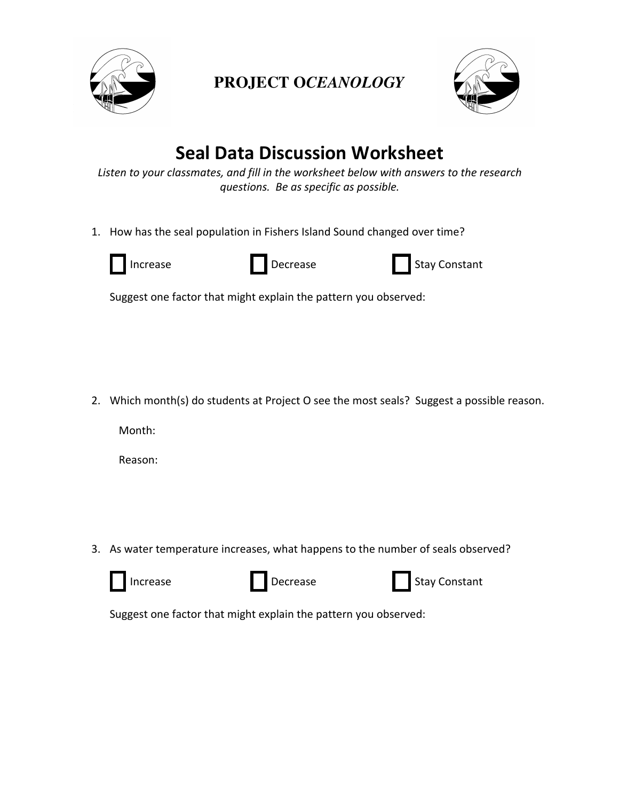

## **PROJECT O***CEANOLOGY*



## **Seal Data Discussion Worksheet**

Listen to your classmates, and fill in the worksheet below with answers to the research *questions. Be as specific as possible.*

1. How has the seal population in Fishers Island Sound changed over time?



Increase Decrease **Decrease** Stay Constant

Suggest one factor that might explain the pattern you observed:

2. Which month(s) do students at Project O see the most seals? Suggest a possible reason.

Month:

Reason:

3. As water temperature increases, what happens to the number of seals observed?



Increase **Decrease** Decrease Stay Constant

Suggest one factor that might explain the pattern you observed: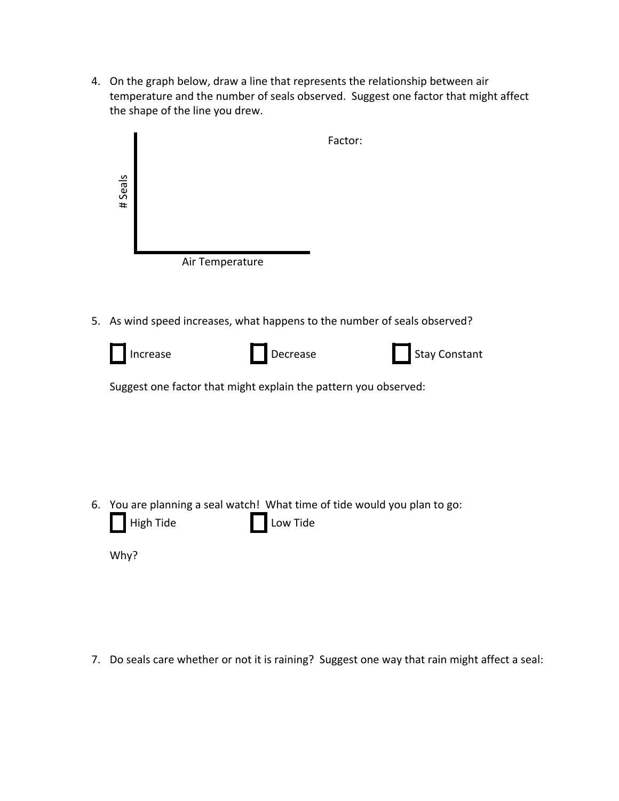4. On the graph below, draw a line that represents the relationship between air temperature and the number of seals observed. Suggest one factor that might affect the shape of the line you drew.

|    | Factor:                                                                                                   |
|----|-----------------------------------------------------------------------------------------------------------|
|    | #Seals                                                                                                    |
|    | Air Temperature                                                                                           |
|    |                                                                                                           |
| 5. | As wind speed increases, what happens to the number of seals observed?                                    |
|    | <b>Stay Constant</b><br>Decrease<br>Increase                                                              |
|    | Suggest one factor that might explain the pattern you observed:                                           |
|    |                                                                                                           |
|    |                                                                                                           |
|    |                                                                                                           |
|    |                                                                                                           |
|    | 6. You are planning a seal watch! What time of tide would you plan to go:<br><b>High Tide</b><br>Low Tide |
|    | Why?                                                                                                      |
|    |                                                                                                           |

7. Do seals care whether or not it is raining? Suggest one way that rain might affect a seal: